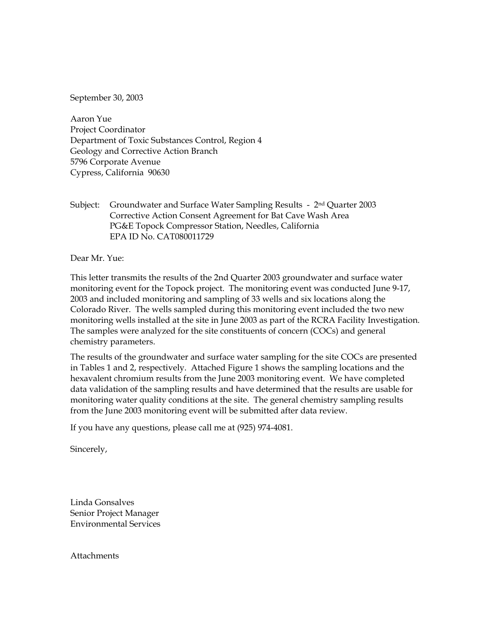September 30, 2003

Aaron Yue Project Coordinator Department of Toxic Substances Control, Region 4 Geology and Corrective Action Branch 5796 Corporate Avenue Cypress, California 90630

Subject: Groundwater and Surface Water Sampling Results - 2<sup>nd</sup> Quarter 2003 Corrective Action Consent Agreement for Bat Cave Wash Area PG&E Topock Compressor Station, Needles, California EPA ID No. CAT080011729

Dear Mr. Yue:

This letter transmits the results of the 2nd Quarter 2003 groundwater and surface water monitoring event for the Topock project. The monitoring event was conducted June 9-17, 2003 and included monitoring and sampling of 33 wells and six locations along the Colorado River. The wells sampled during this monitoring event included the two new monitoring wells installed at the site in June 2003 as part of the RCRA Facility Investigation. The samples were analyzed for the site constituents of concern (COCs) and general chemistry parameters.

The results of the groundwater and surface water sampling for the site COCs are presented in Tables 1 and 2, respectively. Attached Figure 1 shows the sampling locations and the hexavalent chromium results from the June 2003 monitoring event. We have completed data validation of the sampling results and have determined that the results are usable for monitoring water quality conditions at the site. The general chemistry sampling results from the June 2003 monitoring event will be submitted after data review.

If you have any questions, please call me at (925) 974-4081.

Sincerely,

Linda Gonsalves Senior Project Manager Environmental Services

Attachments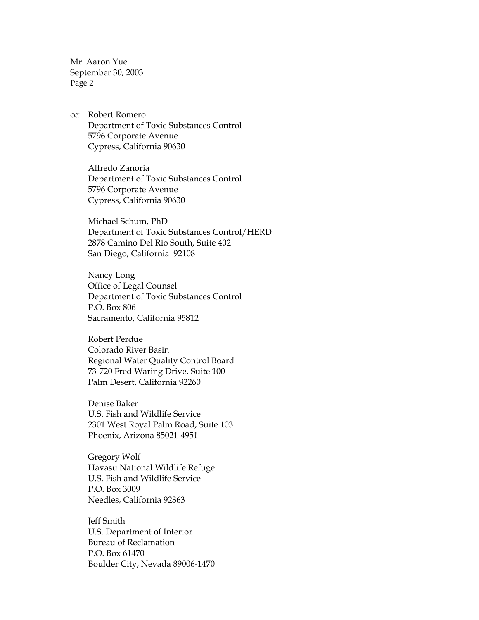Mr. Aaron Yue September 30, 2003 Page 2

cc: Robert Romero Department of Toxic Substances Control 5796 Corporate Avenue Cypress, California 90630

Alfredo Zanoria Department of Toxic Substances Control 5796 Corporate Avenue Cypress, California 90630

Michael Schum, PhD Department of Toxic Substances Control/HERD 2878 Camino Del Rio South, Suite 402 San Diego, California 92108

Nancy Long Office of Legal Counsel Department of Toxic Substances Control P.O. Box 806 Sacramento, California 95812

Robert Perdue Colorado River Basin Regional Water Quality Control Board 73-720 Fred Waring Drive, Suite 100 Palm Desert, California 92260

Denise Baker U.S. Fish and Wildlife Service 2301 West Royal Palm Road, Suite 103 Phoenix, Arizona 85021-4951

Gregory Wolf Havasu National Wildlife Refuge U.S. Fish and Wildlife Service P.O. Box 3009 Needles, California 92363

Jeff Smith U.S. Department of Interior Bureau of Reclamation P.O. Box 61470 Boulder City, Nevada 89006-1470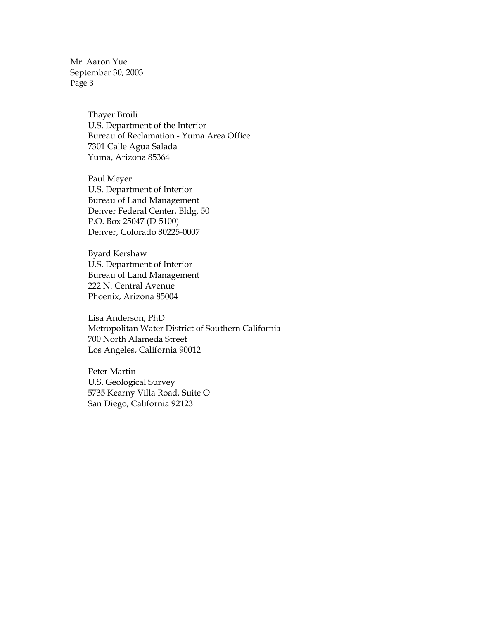Mr. Aaron Yue September 30, 2003 Page 3

> Thayer Broili U.S. Department of the Interior Bureau of Reclamation - Yuma Area Office 7301 Calle Agua Salada Yuma, Arizona 85364

Paul Meyer U.S. Department of Interior Bureau of Land Management Denver Federal Center, Bldg. 50 P.O. Box 25047 (D-5100) Denver, Colorado 80225-0007

Byard Kershaw U.S. Department of Interior Bureau of Land Management 222 N. Central Avenue Phoenix, Arizona 85004

Lisa Anderson, PhD Metropolitan Water District of Southern California 700 North Alameda Street Los Angeles, California 90012

Peter Martin U.S. Geological Survey 5735 Kearny Villa Road, Suite O San Diego, California 92123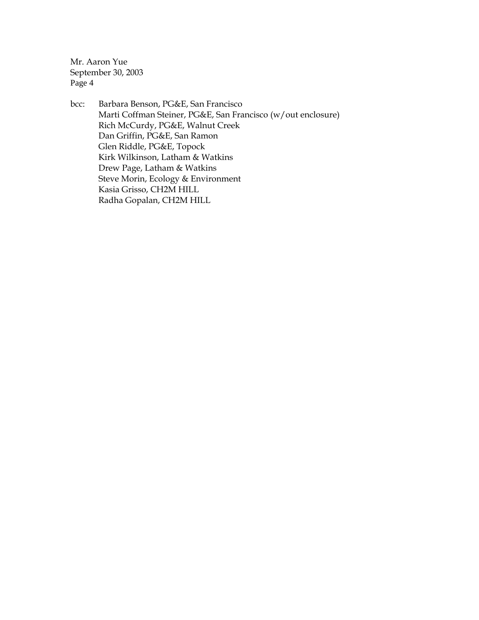Mr. Aaron Yue September 30, 2003 Page 4

bcc: Barbara Benson, PG&E, San Francisco Marti Coffman Steiner, PG&E, San Francisco (w/out enclosure) Rich McCurdy, PG&E, Walnut Creek Dan Griffin, PG&E, San Ramon Glen Riddle, PG&E, Topock Kirk Wilkinson, Latham & Watkins Drew Page, Latham & Watkins Steve Morin, Ecology & Environment Kasia Grisso, CH2M HILL Radha Gopalan, CH2M HILL